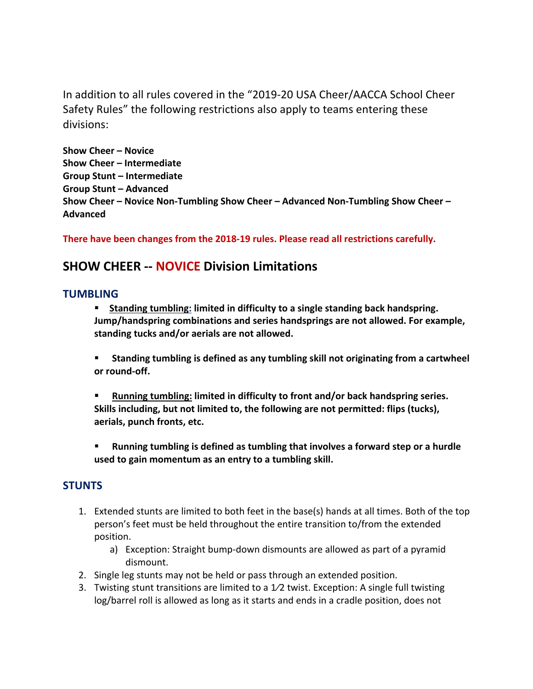In addition to all rules covered in the "2019-20 USA Cheer/AACCA School Cheer Safety Rules" the following restrictions also apply to teams entering these divisions:

**Show Cheer – Novice Show Cheer – Intermediate Group Stunt – Intermediate Group Stunt – Advanced Show Cheer – Novice Non-Tumbling Show Cheer – Advanced Non-Tumbling Show Cheer – Advanced** 

**There have been changes from the 2018-19 rules. Please read all restrictions carefully.** 

## **SHOW CHEER -- NOVICE Division Limitations**

#### **TUMBLING**

§ **Standing tumbling: limited in difficulty to a single standing back handspring. Jump/handspring combinations and series handsprings are not allowed. For example, standing tucks and/or aerials are not allowed.** 

■ Standing tumbling is defined as any tumbling skill not originating from a cartwheel **or round-off.** 

§ **Running tumbling: limited in difficulty to front and/or back handspring series. Skills including, but not limited to, the following are not permitted: flips (tucks), aerials, punch fronts, etc.** 

§ **Running tumbling is defined as tumbling that involves a forward step or a hurdle used to gain momentum as an entry to a tumbling skill.** 

#### **STUNTS**

- 1. Extended stunts are limited to both feet in the base(s) hands at all times. Both of the top person's feet must be held throughout the entire transition to/from the extended position.
	- a) Exception: Straight bump-down dismounts are allowed as part of a pyramid dismount.
- 2. Single leg stunts may not be held or pass through an extended position.
- 3. Twisting stunt transitions are limited to a 1⁄2 twist. Exception: A single full twisting log/barrel roll is allowed as long as it starts and ends in a cradle position, does not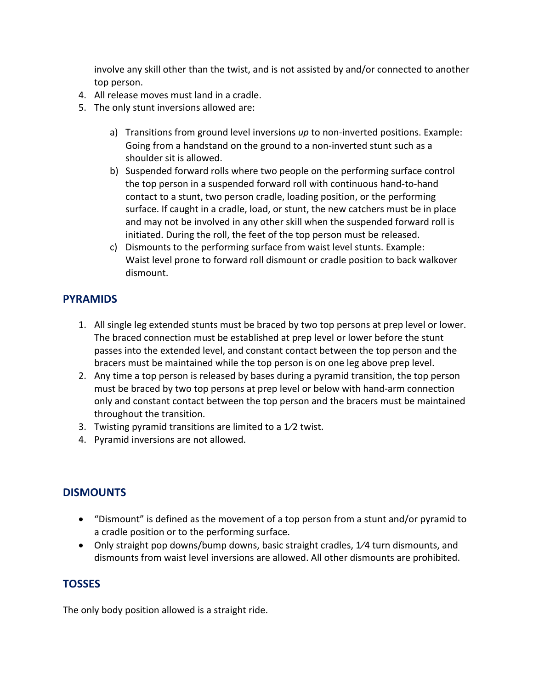involve any skill other than the twist, and is not assisted by and/or connected to another top person.

- 4. All release moves must land in a cradle.
- 5. The only stunt inversions allowed are:
	- a) Transitions from ground level inversions *up* to non-inverted positions. Example: Going from a handstand on the ground to a non-inverted stunt such as a shoulder sit is allowed.
	- b) Suspended forward rolls where two people on the performing surface control the top person in a suspended forward roll with continuous hand-to-hand contact to a stunt, two person cradle, loading position, or the performing surface. If caught in a cradle, load, or stunt, the new catchers must be in place and may not be involved in any other skill when the suspended forward roll is initiated. During the roll, the feet of the top person must be released.
	- c) Dismounts to the performing surface from waist level stunts. Example: Waist level prone to forward roll dismount or cradle position to back walkover dismount.

#### **PYRAMIDS**

- 1. All single leg extended stunts must be braced by two top persons at prep level or lower. The braced connection must be established at prep level or lower before the stunt passes into the extended level, and constant contact between the top person and the bracers must be maintained while the top person is on one leg above prep level.
- 2. Any time a top person is released by bases during a pyramid transition, the top person must be braced by two top persons at prep level or below with hand-arm connection only and constant contact between the top person and the bracers must be maintained throughout the transition.
- 3. Twisting pyramid transitions are limited to a  $1/2$  twist.
- 4. Pyramid inversions are not allowed.

### **DISMOUNTS**

- "Dismount" is defined as the movement of a top person from a stunt and/or pyramid to a cradle position or to the performing surface.
- Only straight pop downs/bump downs, basic straight cradles, 1/4 turn dismounts, and dismounts from waist level inversions are allowed. All other dismounts are prohibited.

### **TOSSES**

The only body position allowed is a straight ride.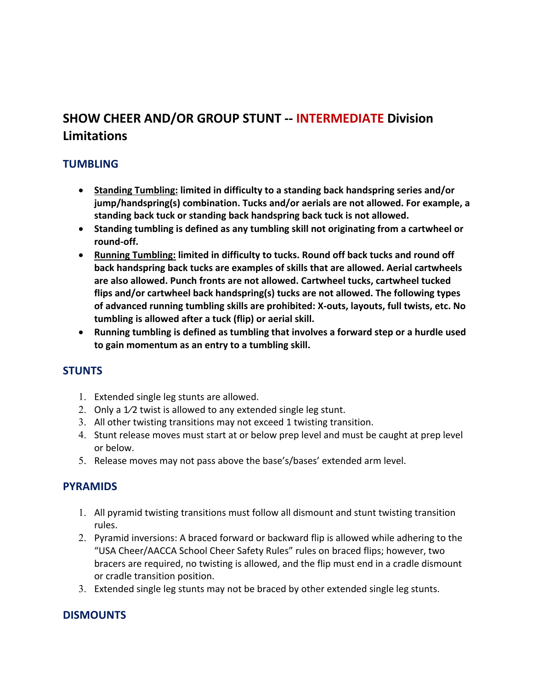# **SHOW CHEER AND/OR GROUP STUNT -- INTERMEDIATE Division Limitations**

### **TUMBLING**

- **Standing Tumbling: limited in difficulty to a standing back handspring series and/or jump/handspring(s) combination. Tucks and/or aerials are not allowed. For example, a standing back tuck or standing back handspring back tuck is not allowed.**
- **Standing tumbling is defined as any tumbling skill not originating from a cartwheel or round-off.**
- **Running Tumbling: limited in difficulty to tucks. Round off back tucks and round off back handspring back tucks are examples of skills that are allowed. Aerial cartwheels are also allowed. Punch fronts are not allowed. Cartwheel tucks, cartwheel tucked flips and/or cartwheel back handspring(s) tucks are not allowed. The following types of advanced running tumbling skills are prohibited: X-outs, layouts, full twists, etc. No tumbling is allowed after a tuck (flip) or aerial skill.**
- **Running tumbling is defined as tumbling that involves a forward step or a hurdle used to gain momentum as an entry to a tumbling skill.**

### **STUNTS**

- 1. Extended single leg stunts are allowed.
- 2. Only a 1/2 twist is allowed to any extended single leg stunt.
- 3. All other twisting transitions may not exceed 1 twisting transition.
- 4. Stunt release moves must start at or below prep level and must be caught at prep level or below.
- 5. Release moves may not pass above the base's/bases' extended arm level.

### **PYRAMIDS**

- 1. All pyramid twisting transitions must follow all dismount and stunt twisting transition rules.
- 2. Pyramid inversions: A braced forward or backward flip is allowed while adhering to the "USA Cheer/AACCA School Cheer Safety Rules" rules on braced flips; however, two bracers are required, no twisting is allowed, and the flip must end in a cradle dismount or cradle transition position.
- 3. Extended single leg stunts may not be braced by other extended single leg stunts.

### **DISMOUNTS**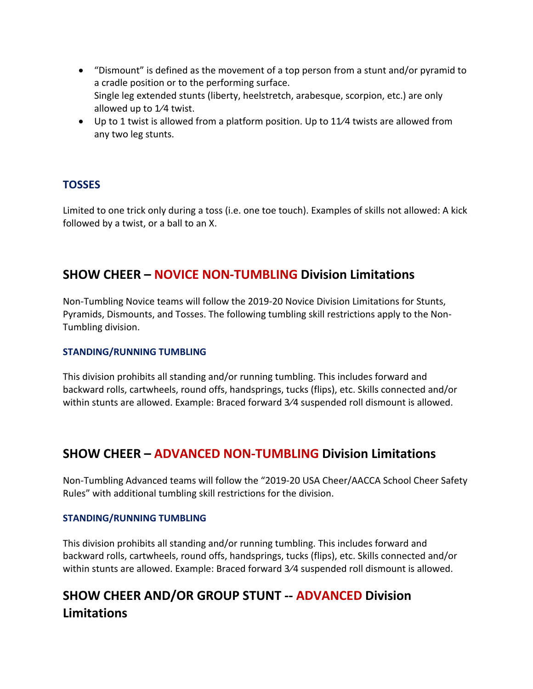- "Dismount" is defined as the movement of a top person from a stunt and/or pyramid to a cradle position or to the performing surface. Single leg extended stunts (liberty, heelstretch, arabesque, scorpion, etc.) are only allowed up to 1⁄4 twist.
- Up to 1 twist is allowed from a platform position. Up to 11⁄4 twists are allowed from any two leg stunts.

#### **TOSSES**

Limited to one trick only during a toss (i.e. one toe touch). Examples of skills not allowed: A kick followed by a twist, or a ball to an X.

### **SHOW CHEER – NOVICE NON-TUMBLING Division Limitations**

Non-Tumbling Novice teams will follow the 2019-20 Novice Division Limitations for Stunts, Pyramids, Dismounts, and Tosses. The following tumbling skill restrictions apply to the Non-Tumbling division.

#### **STANDING/RUNNING TUMBLING**

This division prohibits all standing and/or running tumbling. This includes forward and backward rolls, cartwheels, round offs, handsprings, tucks (flips), etc. Skills connected and/or within stunts are allowed. Example: Braced forward 3⁄4 suspended roll dismount is allowed.

### **SHOW CHEER – ADVANCED NON-TUMBLING Division Limitations**

Non-Tumbling Advanced teams will follow the "2019-20 USA Cheer/AACCA School Cheer Safety Rules" with additional tumbling skill restrictions for the division.

#### **STANDING/RUNNING TUMBLING**

This division prohibits all standing and/or running tumbling. This includes forward and backward rolls, cartwheels, round offs, handsprings, tucks (flips), etc. Skills connected and/or within stunts are allowed. Example: Braced forward 3⁄4 suspended roll dismount is allowed.

# **SHOW CHEER AND/OR GROUP STUNT -- ADVANCED Division Limitations**